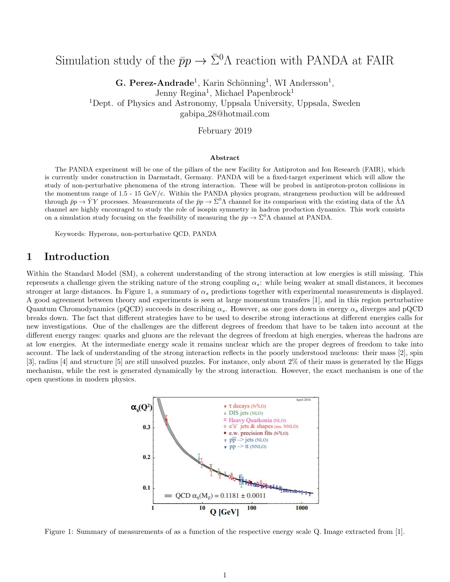# Simulation study of the  $\bar{p}p \to \bar{\Sigma}^0 \Lambda$  reaction with PANDA at FAIR

G. Perez-Andrade<sup>1</sup>, Karin Schönning<sup>1</sup>, WI Andersson<sup>1</sup>, Jenny Regina<sup>1</sup>, Michael Papenbrock<sup>1</sup> <sup>1</sup>Dept. of Physics and Astronomy, Uppsala University, Uppsala, Sweden gabipa 28@hotmail.com

February 2019

#### Abstract

The PANDA experiment will be one of the pillars of the new Facility for Antiproton and Ion Research (FAIR), which is currently under construction in Darmstadt, Germany. PANDA will be a fixed-target experiment which will allow the study of non-perturbative phenomena of the strong interaction. These will be probed in antiproton-proton collisions in the momentum range of 1.5 - 15 GeV/c. Within the PANDA physics program, strangeness production will be addressed through  $\bar{p}p \to \bar{Y}Y$  processes. Measurements of the  $\bar{p}p \to \bar{\Sigma}^0 \Lambda$  channel for its comparison with the existing data of the  $\bar{\Lambda} \Lambda$ channel are highly encouraged to study the role of isospin symmetry in hadron production dynamics. This work consists on a simulation study focusing on the feasibility of measuring the  $\bar{p}p \to \bar{\Sigma}^0 \Lambda$  channel at PANDA.

Keywords: Hyperons, non-perturbative QCD, PANDA

## 1 Introduction

Within the Standard Model (SM), a coherent understanding of the strong interaction at low energies is still missing. This represents a challenge given the striking nature of the strong coupling  $\alpha_s$ : while being weaker at small distances, it becomes stronger at large distances. In Figure 1, a summary of  $\alpha_s$  predictions together with experimental measurements is displayed. A good agreement between theory and experiments is seen at large momentum transfers [1], and in this region perturbative Quantum Chromodynamics (pQCD) succeeds in describing  $\alpha_s$ . However, as one goes down in energy  $\alpha_s$  diverges and pQCD breaks down. The fact that different strategies have to be used to describe strong interactions at different energies calls for new investigations. One of the challenges are the different degrees of freedom that have to be taken into account at the different energy ranges: quarks and gluons are the relevant the degrees of freedom at high energies, whereas the hadrons are at low energies. At the intermediate energy scale it remains unclear which are the proper degrees of freedom to take into account. The lack of understanding of the strong interaction reflects in the poorly understood nucleons: their mass [2], spin [3], radius [4] and structure [5] are still unsolved puzzles. For instance, only about 2% of their mass is generated by the Higgs mechanism, while the rest is generated dynamically by the strong interaction. However, the exact mechanism is one of the open questions in modern physics.



Figure 1: Summary of measurements of as a function of the respective energy scale Q. Image extracted from [1].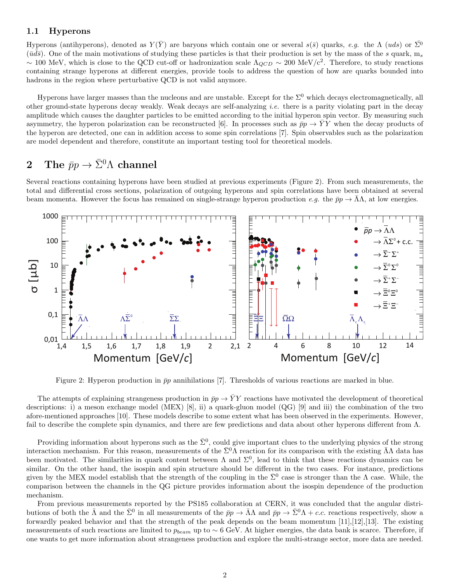#### 1.1 Hyperons

Hyperons (antihyperons), denoted as  $Y(\bar{Y})$  are baryons which contain one or several  $s(\bar{s})$  quarks, e.g. the  $\Lambda$  (uds) or  $\Sigma^0$  $(\bar{u}d\bar{s})$ . One of the main motivations of studying these particles is that their production is set by the mass of the s quark, m<sub>s</sub> ~ 100 MeV, which is close to the QCD cut-off or hadronization scale  $\Lambda_{QCD}$  ~ 200 MeV/c<sup>2</sup>. Therefore, to study reactions containing strange hyperons at different energies, provide tools to address the question of how are quarks bounded into hadrons in the region where perturbative QCD is not valid anymore.

Hyperons have larger masses than the nucleons and are unstable. Except for the  $\Sigma^0$  which decays electromagnetically, all other ground-state hyperons decay weakly. Weak decays are self-analyzing *i.e.* there is a parity violating part in the decay amplitude which causes the daughter particles to be emitted according to the initial hyperon spin vector. By measuring such asymmetry, the hyperon polarization can be reconstructed [6]. In processes such as  $\bar{p}p \to YY$  when the decay products of the hyperon are detected, one can in addition access to some spin correlations [7]. Spin observables such as the polarization are model dependent and therefore, constitute an important testing tool for theoretical models.

## 2 The  $\bar{p}p \to \bar{\Sigma}^0 \Lambda$  channel

Several reactions containing hyperons have been studied at previous experiments (Figure 2). From such measurements, the total and differential cross sections, polarization of outgoing hyperons and spin correlations have been obtained at several beam momenta. However the focus has remained on single-strange hyperon production e.g. the  $\bar{p}p \to \Lambda\Lambda$ , at low energies.



Figure 2: Hyperon production in  $\bar{p}p$  annihilations [7]. Thresholds of various reactions are marked in blue.

The attempts of explaining strangeness production in  $\bar{p}p \to \bar{Y}Y$  reactions have motivated the development of theoretical descriptions: i) a meson exchange model (MEX) [8], ii) a quark-gluon model (QG) [9] and iii) the combination of the two afore-mentioned approaches [10]. These models describe to some extent what has been observed in the experiments. However, fail to describe the complete spin dynamics, and there are few predictions and data about other hyperons different from Λ.

Providing information about hyperons such as the  $\bar{\Sigma}^0$ , could give important clues to the underlying physics of the strong interaction mechanism. For this reason, measurements of the  $\bar{\Sigma}^0$ A reaction for its comparison with the existing  $\bar{\Lambda}$ A data has been motivated. The similarities in quark content between  $\Lambda$  and  $\Sigma^0$ , lead to think that these reactions dynamics can be similar. On the other hand, the isospin and spin structure should be different in the two cases. For instance, predictions given by the MEX model establish that the strength of the coupling in the  $\bar{\Sigma}^0$  case is stronger than the  $\Lambda$  case. While, the comparison between the channels in the QG picture provides information about the isospin dependence of the production mechanism.

From previous measurements reported by the PS185 collaboration at CERN, it was concluded that the angular distributions of both the  $\bar{\Lambda}$  and the  $\bar{\Sigma}^0$  in all measurements of the  $\bar{p}p \to \bar{\Lambda}\Lambda$  and  $\bar{p}p \to \bar{\Sigma}^0\Lambda + c.c.$  reactions respectively, show a forwardly peaked behavior and that the strength of the peak depends on the beam momentum [11],[12],[13]. The existing measurements of such reactions are limited to  $p_{beam}$  up to  $\sim 6$  GeV. At higher energies, the data bank is scarce. Therefore, if one wants to get more information about strangeness production and explore the multi-strange sector, more data are needed.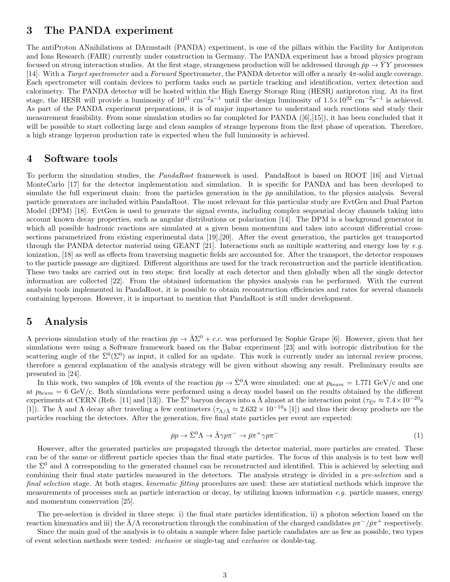## 3 The PANDA experiment

The antiProton ANnihilations at DArmstadt (PANDA) experiment, is one of the pillars within the Facility for Antiproton and Ions Research (FAIR) currently under construction in Germany. The PANDA experiment has a broad physics program focused on strong interaction studies. At the first stage, strangeness production will be addressed through  $\bar{p}p \to \bar{Y}Y$  processes [14]. With a Target spectrometer and a Forward Spectrometer, the PANDA detector will offer a nearly 4π-solid angle coverage. Each spectrometer will contain devices to perform tasks such as particle tracking and identification, vertex detection and calorimetry. The PANDA detector will be hosted within the High Energy Storage Ring (HESR) antiproton ring. At its first stage, the HESR will provide a luminosity of  $10^{31}$  cm<sup>-2</sup>s<sup>-1</sup> until the design luminosity of  $1.5 \times 10^{32}$  cm<sup>-2</sup>s<sup>-1</sup> is achieved. As part of the PANDA experiment preparations, it is of major importance to understand such reactions and study their measurement feasibility. From some simulation studies so far completed for PANDA ([6],[15]), it has been concluded that it will be possible to start collecting large and clean samples of strange hyperons from the first phase of operation. Therefore, a high strange hyperon production rate is expected when the full luminosity is achieved.

## 4 Software tools

To perform the simulation studies, the PandaRoot framework is used. PandaRoot is based on ROOT [16] and Virtual MonteCarlo [17] for the detector implementation and simulation. It is specific for PANDA and has been developed to simulate the full experiment chain: from the particles generation in the  $\bar{p}p$  annihilation, to the physics analysis. Several particle generators are included within PandaRoot. The most relevant for this particular study are EvtGen and Dual Parton Model (DPM) [18]. EvtGen is used to generate the signal events, including complex sequential decay channels taking into account known decay properties, such as angular distributions or polarization [14]. The DPM is a background generator in which all possible hadronic reactions are simulated at a given beam momentum and takes into account differential crosssections parametrized from existing experimental data [19],[20]. After the event generation, the particles get transported through the PANDA detector material using GEANT [21]. Interactions such as multiple scattering and energy loss by e.g. ionization, [18] as well as effects from traversing magnetic fields are accounted for. After the transport, the detector responses to the particle passage are digitized. Different algorithms are used for the track reconstruction and the particle identification. These two tasks are carried out in two steps: first locally at each detector and then globally when all the single detector information are collected [22]. From the obtained information the physics analysis can be performed. With the current analysis tools implemented in PandaRoot, it is possible to obtain reconstruction efficiencies and rates for several channels containing hyperons. However, it is important to mention that PandaRoot is still under development.

## 5 Analysis

A previous simulation study of the reaction  $\bar{p}p \to \bar{\Lambda}\Sigma^0 + c.c.$  was performed by Sophie Grape [6]. However, given that her simulations were using a Software framework based on the Babar experiment [23] and with isotropic distribution for the scattering angle of the  $\bar{\Sigma}^0(\Sigma^0)$  as input, it called for an update. This work is currently under an internal review process, therefore a general explanation of the analysis strategy will be given without showing any result. Preliminary results are presented in [24].

In this work, two samples of 10k events of the reaction  $\bar{p}p \to \bar{\Sigma}^0 \Lambda$  were simulated: one at  $p_{beam} = 1.771 \text{ GeV/c}$  and one at  $p_{beam} = 6 \text{ GeV/c}$ . Both simulations were performed using a decay model based on the results obtained by the different experiments at CERN (Refs. [11] and [13]). The  $\bar{\Sigma}^0$  baryon decays into a  $\bar{\Lambda}$  almost at the interaction point ( $\tau_{\bar{\Sigma}^0} \approx 7.4 \times 10^{-20}$ s [1]). The  $\bar{\Lambda}$  and  $\Lambda$  decay after traveling a few centimeters  $(\tau_{\Lambda/\bar{\Lambda}} \approx 2.632 \times 10^{-10}$ s [1]) and thus their decay products are the particles reaching the detectors. After the generation, five final state particles per event are expected:

$$
\bar{p}p \to \bar{\Sigma}^0 \Lambda \to \bar{\Lambda}\gamma p\pi^- \to \bar{p}\pi^+ \gamma p\pi^- \tag{1}
$$

However, after the generated particles are propagated through the detector material, more particles are created. These can be of the same or different particle species than the final state particles. The focus of this analysis is to test how well the  $\bar{\Sigma}^0$  and  $\Lambda$  corresponding to the generated channel can be reconstructed and identified. This is achieved by selecting and combining their final state particles measured in the detectors. The analysis strategy is divided in a pre-selection and a final selection stage. At both stages, kinematic fitting procedures are used: these are statistical methods which improve the measurements of processes such as particle interaction or decay, by utilizing known information  $e.g.$  particle masses, energy and momentum conservation [25].

The pre-selection is divided in three steps: i) the final state particles identification, ii) a photon selection based on the reaction kinematics and iii) the  $\bar{\Lambda}/\Lambda$  reconstruction through the combination of the charged candidates  $p\pi^-/\bar{p}\pi^+$  respectively.

Since the main goal of the analysis is to obtain a sample where false particle candidates are as few as possible, two types of event selection methods were tested: inclusive or single-tag and exclusive or double-tag.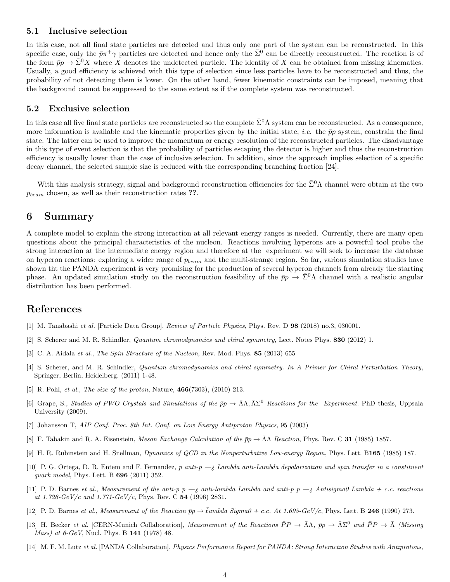#### 5.1 Inclusive selection

In this case, not all final state particles are detected and thus only one part of the system can be reconstructed. In this specific case, only the  $\bar{p}\pi^+\gamma$  particles are detected and hence only the  $\bar{\Sigma}^0$  can be directly reconstructed. The reaction is of the form  $\bar{p}p \to \bar{\Sigma}^0 X$  where X denotes the undetected particle. The identity of X can be obtained from missing kinematics. Usually, a good efficiency is achieved with this type of selection since less particles have to be reconstructed and thus, the probability of not detecting them is lower. On the other hand, fewer kinematic constraints can be imposed, meaning that the background cannot be suppressed to the same extent as if the complete system was reconstructed.

#### 5.2 Exclusive selection

In this case all five final state particles are reconstructed so the complete  $\bar{\Sigma}^0 \Lambda$  system can be reconstructed. As a consequence, more information is available and the kinematic properties given by the initial state, *i.e.* the  $\bar{p}p$  system, constrain the final state. The latter can be used to improve the momentum or energy resolution of the reconstructed particles. The disadvantage in this type of event selection is that the probability of particles escaping the detector is higher and thus the reconstruction efficiency is usually lower than the case of inclusive selection. In addition, since the approach implies selection of a specific decay channel, the selected sample size is reduced with the corresponding branching fraction [24].

With this analysis strategy, signal and background reconstruction efficiencies for the  $\bar{\Sigma}^0 \Lambda$  channel were obtain at the two  $p_{beam}$  chosen, as well as their reconstruction rates ??.

#### 6 Summary

A complete model to explain the strong interaction at all relevant energy ranges is needed. Currently, there are many open questions about the principal characteristics of the nucleon. Reactions involving hyperons are a powerful tool probe the strong interaction at the intermediate energy region and therefore at the experiment we will seek to increase the database on hyperon reactions: exploring a wider range of  $p_{beam}$  and the multi-strange region. So far, various simulation studies have shown tht the PANDA experiment is very promising for the production of several hyperon channels from already the starting phase. An updated simulation study on the reconstruction feasibility of the  $\bar{p}p \to \bar{\Sigma}^0 \Lambda$  channel with a realistic angular distribution has been performed.

### References

- [1] M. Tanabashi et al. [Particle Data Group], Review of Particle Physics, Phys. Rev. D 98 (2018) no.3, 030001.
- [2] S. Scherer and M. R. Schindler, *Quantum chromodynamics and chiral symmetry*, Lect. Notes Phys. 830 (2012) 1.
- [3] C. A. Aidala et al., The Spin Structure of the Nucleon, Rev. Mod. Phys. 85 (2013) 655
- [4] S. Scherer, and M. R. Schindler, Quantum chromodynamics and chiral symmetry. In A Primer for Chiral Perturbation Theory, Springer, Berlin, Heidelberg. (2011) 1-48.
- [5] R. Pohl, *et al., The size of the proton*, Nature, **466**(7303), (2010) 213.
- [6] Grape, S., Studies of PWO Crystals and Simulations of the  $\bar{p}p \to \bar{\Lambda}\Lambda, \bar{\Lambda}\Sigma^0$  Reactions for the Experiment. PhD thesis, Uppsala University (2009).
- [7] Johansson T, AIP Conf. Proc. 8th Int. Conf. on Low Energy Antiproton Physics, 95 (2003)
- [8] F. Tabakin and R. A. Eisenstein, Meson Exchange Calculation of the  $\bar{p}p \to \bar{\Lambda} \Lambda$  Reaction, Phys. Rev. C 31 (1985) 1857.
- [9] H. R. Rubinstein and H. Snellman, Dynamics of QCD in the Nonperturbative Low-energy Region, Phys. Lett. B165 (1985) 187.
- [10] P. G. Ortega, D. R. Entem and F. Fernandez, p anti-p  $-i$  Lambda anti-Lambda depolarization and spin transfer in a constituent quark model, Phys. Lett. B 696 (2011) 352.
- [11] P. D. Barnes et al., Measurement of the anti-p  $p \rightarrow \text{z}$  anti-lambda Lambda and anti-p  $p \rightarrow \text{z}$  Antisigma0 Lambda + c.c. reactions at 1.726- $GeV/c$  and 1.771- $GeV/c$ , Phys. Rev. C 54 (1996) 2831.
- [12] P. D. Barnes et al., Measurement of the Reaction  $\bar{p}p \to \bar{\ell}$ ambda Sigma $0 + c.c.$  At 1.695-GeV/c, Phys. Lett. B 246 (1990) 273.
- [13] H. Becker et al. [CERN-Munich Collaboration], Measurement of the Reactions  $\bar{P}P \to \bar{\Lambda}\Lambda$ ,  $\bar{p}p \to \bar{\Lambda}\Sigma^0$  and  $\bar{P}P \to \bar{\Lambda}$  (Missing Mass) at 6-GeV, Nucl. Phys. B 141 (1978) 48.
- [14] M. F. M. Lutz et al. [PANDA Collaboration], Physics Performance Report for PANDA: Strong Interaction Studies with Antiprotons,